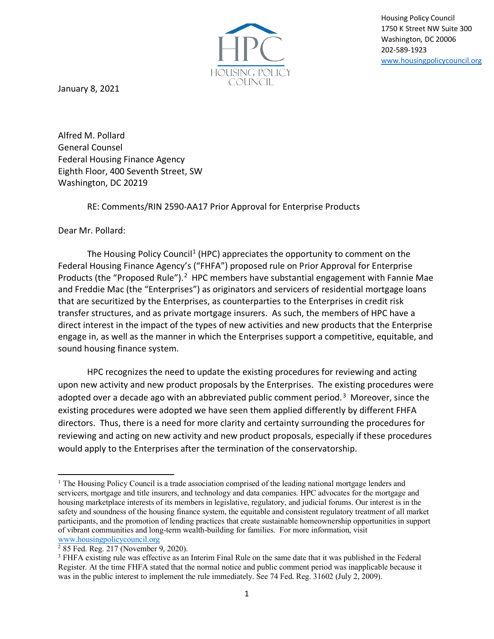

Housing Policy Council 1750 K Street NW Suite 300 Washington, DC 20006 202-589-1923 [www.housingpolicycouncil.org](http://www.housingpolicycouncil.org/)

January 8, 2021

Alfred M. Pollard General Counsel Federal Housing Finance Agency Eighth Floor, 400 Seventh Street, SW Washington, DC 20219

RE: Comments/RIN 2590-AA17 Prior Approval for Enterprise Products

Dear Mr. Pollard:

The Housing Policy Council<sup>[1](#page-0-0)</sup> (HPC) appreciates the opportunity to comment on the Federal Housing Finance Agency's ("FHFA") proposed rule on Prior Approval for Enterprise Products (the "Proposed Rule").<sup>[2](#page-0-1)</sup> HPC members have substantial engagement with Fannie Mae and Freddie Mac (the "Enterprises") as originators and servicers of residential mortgage loans that are securitized by the Enterprises, as counterparties to the Enterprises in credit risk transfer structures, and as private mortgage insurers. As such, the members of HPC have a direct interest in the impact of the types of new activities and new products that the Enterprise engage in, as well as the manner in which the Enterprises support a competitive, equitable, and sound housing finance system.

HPC recognizes the need to update the existing procedures for reviewing and acting upon new activity and new product proposals by the Enterprises. The existing procedures were adopted over a decade ago with an abbreviated public comment period.<sup>[3](#page-0-2)</sup> Moreover, since the existing procedures were adopted we have seen them applied differently by different FHFA directors. Thus, there is a need for more clarity and certainty surrounding the procedures for reviewing and acting on new activity and new product proposals, especially if these procedures would apply to the Enterprises after the termination of the conservatorship.

<span id="page-0-0"></span> $<sup>1</sup>$  The Housing Policy Council is a trade association comprised of the leading national mortgage lenders and</sup> servicers, mortgage and title insurers, and technology and data companies. HPC advocates for the mortgage and housing marketplace interests of its members in legislative, regulatory, and judicial forums. Our interest is in the safety and soundness of the housing finance system, the equitable and consistent regulatory treatment of all market participants, and the promotion of lending practices that create sustainable homeownership opportunities in support of vibrant communities and long-term wealth-building for families. For more information, visit [www.housingpolicycouncil.org](http://www.housingpolicycouncil.org/)

<span id="page-0-1"></span><sup>2</sup> 85 Fed. Reg. 217 (November 9, 2020).

<span id="page-0-2"></span><sup>&</sup>lt;sup>3</sup> FHFA existing rule was effective as an Interim Final Rule on the same date that it was published in the Federal Register. At the time FHFA stated that the normal notice and public comment period was inapplicable because it was in the public interest to implement the rule immediately. See 74 Fed. Reg. 31602 (July 2, 2009).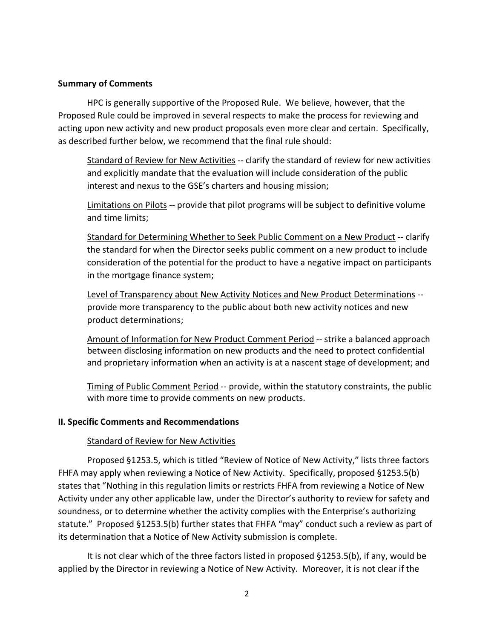#### **Summary of Comments**

HPC is generally supportive of the Proposed Rule. We believe, however, that the Proposed Rule could be improved in several respects to make the process for reviewing and acting upon new activity and new product proposals even more clear and certain. Specifically, as described further below, we recommend that the final rule should:

Standard of Review for New Activities -- clarify the standard of review for new activities and explicitly mandate that the evaluation will include consideration of the public interest and nexus to the GSE's charters and housing mission;

Limitations on Pilots -- provide that pilot programs will be subject to definitive volume and time limits;

Standard for Determining Whether to Seek Public Comment on a New Product -- clarify the standard for when the Director seeks public comment on a new product to include consideration of the potential for the product to have a negative impact on participants in the mortgage finance system;

Level of Transparency about New Activity Notices and New Product Determinations - provide more transparency to the public about both new activity notices and new product determinations;

Amount of Information for New Product Comment Period -- strike a balanced approach between disclosing information on new products and the need to protect confidential and proprietary information when an activity is at a nascent stage of development; and

Timing of Public Comment Period -- provide, within the statutory constraints, the public with more time to provide comments on new products.

## **II. Specific Comments and Recommendations**

## Standard of Review for New Activities

Proposed §1253.5, which is titled "Review of Notice of New Activity," lists three factors FHFA may apply when reviewing a Notice of New Activity. Specifically, proposed §1253.5(b) states that "Nothing in this regulation limits or restricts FHFA from reviewing a Notice of New Activity under any other applicable law, under the Director's authority to review for safety and soundness, or to determine whether the activity complies with the Enterprise's authorizing statute." Proposed §1253.5(b) further states that FHFA "may" conduct such a review as part of its determination that a Notice of New Activity submission is complete.

It is not clear which of the three factors listed in proposed §1253.5(b), if any, would be applied by the Director in reviewing a Notice of New Activity. Moreover, it is not clear if the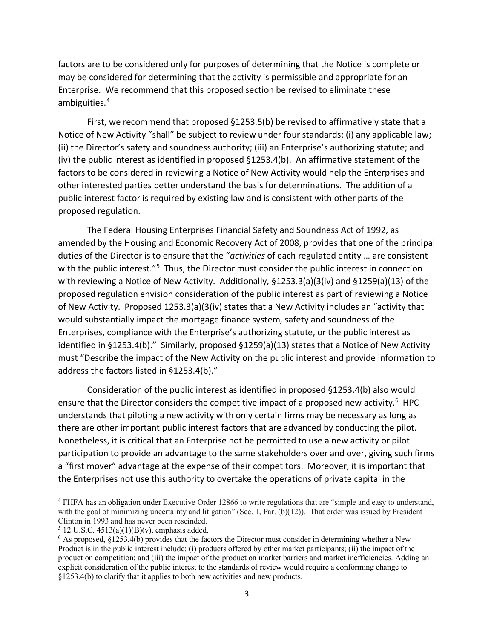factors are to be considered only for purposes of determining that the Notice is complete or may be considered for determining that the activity is permissible and appropriate for an Enterprise. We recommend that this proposed section be revised to eliminate these ambiguities.[4](#page-2-0)

First, we recommend that proposed §1253.5(b) be revised to affirmatively state that a Notice of New Activity "shall" be subject to review under four standards: (i) any applicable law; (ii) the Director's safety and soundness authority; (iii) an Enterprise's authorizing statute; and (iv) the public interest as identified in proposed §1253.4(b). An affirmative statement of the factors to be considered in reviewing a Notice of New Activity would help the Enterprises and other interested parties better understand the basis for determinations. The addition of a public interest factor is required by existing law and is consistent with other parts of the proposed regulation.

The Federal Housing Enterprises Financial Safety and Soundness Act of 1992, as amended by the Housing and Economic Recovery Act of 2008, provides that one of the principal duties of the Director is to ensure that the "*activities* of each regulated entity … are consistent with the public interest."<sup>[5](#page-2-1)</sup> Thus, the Director must consider the public interest in connection with reviewing a Notice of New Activity. Additionally, §1253.3(a)(3(iv) and §1259(a)(13) of the proposed regulation envision consideration of the public interest as part of reviewing a Notice of New Activity. Proposed 1253.3(a)(3(iv) states that a New Activity includes an "activity that would substantially impact the mortgage finance system, safety and soundness of the Enterprises, compliance with the Enterprise's authorizing statute, or the public interest as identified in §1253.4(b)." Similarly, proposed §1259(a)(13) states that a Notice of New Activity must "Describe the impact of the New Activity on the public interest and provide information to address the factors listed in §1253.4(b)."

Consideration of the public interest as identified in proposed §1253.4(b) also would ensure that the Director considers the competitive impact of a proposed new activity.<sup>[6](#page-2-2)</sup> HPC understands that piloting a new activity with only certain firms may be necessary as long as there are other important public interest factors that are advanced by conducting the pilot. Nonetheless, it is critical that an Enterprise not be permitted to use a new activity or pilot participation to provide an advantage to the same stakeholders over and over, giving such firms a "first mover" advantage at the expense of their competitors. Moreover, it is important that the Enterprises not use this authority to overtake the operations of private capital in the

<span id="page-2-0"></span><sup>4</sup> FHFA has an obligation under Executive Order 12866 to write regulations that are "simple and easy to understand, with the goal of minimizing uncertainty and litigation" (Sec. 1, Par. (b)(12)). That order was issued by President Clinton in 1993 and has never been rescinded.<br> $5$  12 U.S.C. 4513(a)(1)(B)(v), emphasis added.

<span id="page-2-1"></span>

<span id="page-2-2"></span><sup>6</sup> As proposed, §1253.4(b) provides that the factors the Director must consider in determining whether a New Product is in the public interest include: (i) products offered by other market participants; (ii) the impact of the product on competition; and (iii) the impact of the product on market barriers and market inefficiencies. Adding an explicit consideration of the public interest to the standards of review would require a conforming change to §1253.4(b) to clarify that it applies to both new activities and new products.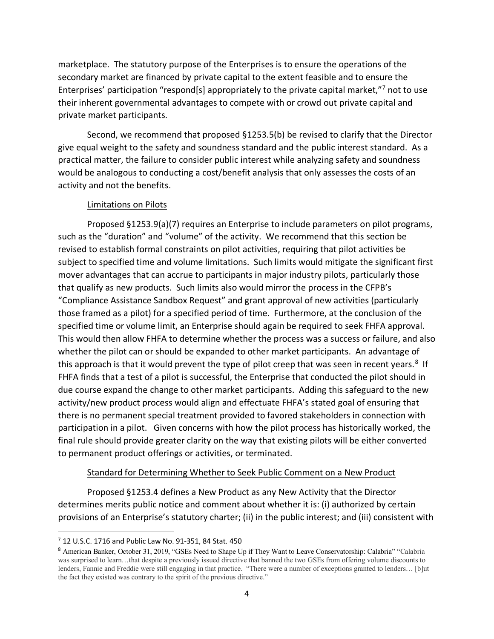marketplace. The statutory purpose of the Enterprises is to ensure the operations of the secondary market are financed by private capital to the extent feasible and to ensure the Enterprises' participation "respond[s] appropriately to the private capital market,"[7](#page-3-0) not to use their inherent governmental advantages to compete with or crowd out private capital and private market participants.

Second, we recommend that proposed §1253.5(b) be revised to clarify that the Director give equal weight to the safety and soundness standard and the public interest standard. As a practical matter, the failure to consider public interest while analyzing safety and soundness would be analogous to conducting a cost/benefit analysis that only assesses the costs of an activity and not the benefits.

# Limitations on Pilots

Proposed §1253.9(a)(7) requires an Enterprise to include parameters on pilot programs, such as the "duration" and "volume" of the activity. We recommend that this section be revised to establish formal constraints on pilot activities, requiring that pilot activities be subject to specified time and volume limitations. Such limits would mitigate the significant first mover advantages that can accrue to participants in major industry pilots, particularly those that qualify as new products. Such limits also would mirror the process in the CFPB's "Compliance Assistance Sandbox Request" and grant approval of new activities (particularly those framed as a pilot) for a specified period of time. Furthermore, at the conclusion of the specified time or volume limit, an Enterprise should again be required to seek FHFA approval. This would then allow FHFA to determine whether the process was a success or failure, and also whether the pilot can or should be expanded to other market participants. An advantage of this approach is that it would prevent the type of pilot creep that was seen in recent years.<sup>[8](#page-3-1)</sup> If FHFA finds that a test of a pilot is successful, the Enterprise that conducted the pilot should in due course expand the change to other market participants. Adding this safeguard to the new activity/new product process would align and effectuate FHFA's stated goal of ensuring that there is no permanent special treatment provided to favored stakeholders in connection with participation in a pilot. Given concerns with how the pilot process has historically worked, the final rule should provide greater clarity on the way that existing pilots will be either converted to permanent product offerings or activities, or terminated.

# Standard for Determining Whether to Seek Public Comment on a New Product

Proposed §1253.4 defines a New Product as any New Activity that the Director determines merits public notice and comment about whether it is: (i) authorized by certain provisions of an Enterprise's statutory charter; (ii) in the public interest; and (iii) consistent with

<span id="page-3-0"></span><sup>7</sup> 12 U.S.C. 1716 and Public Law No. 91-351, 84 Stat. 450

<span id="page-3-1"></span><sup>&</sup>lt;sup>8</sup> American Banker, October 31, 2019, "GSEs Need to Shape Up if They Want to Leave Conservatorship: Calabria" "Calabria" was surprised to learn…that despite a previously issued directive that banned the two GSEs from offering volume discounts to lenders, Fannie and Freddie were still engaging in that practice. "There were a number of exceptions granted to lenders… [b]ut the fact they existed was contrary to the spirit of the previous directive."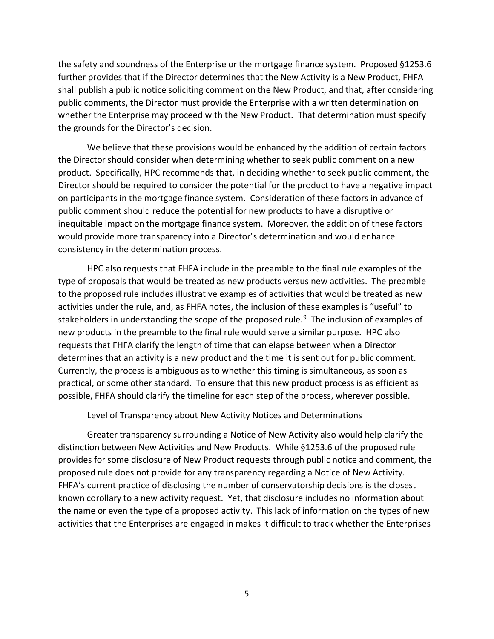the safety and soundness of the Enterprise or the mortgage finance system. Proposed §1253.6 further provides that if the Director determines that the New Activity is a New Product, FHFA shall publish a public notice soliciting comment on the New Product, and that, after considering public comments, the Director must provide the Enterprise with a written determination on whether the Enterprise may proceed with the New Product. That determination must specify the grounds for the Director's decision.

We believe that these provisions would be enhanced by the addition of certain factors the Director should consider when determining whether to seek public comment on a new product. Specifically, HPC recommends that, in deciding whether to seek public comment, the Director should be required to consider the potential for the product to have a negative impact on participants in the mortgage finance system. Consideration of these factors in advance of public comment should reduce the potential for new products to have a disruptive or inequitable impact on the mortgage finance system. Moreover, the addition of these factors would provide more transparency into a Director's determination and would enhance consistency in the determination process.

HPC also requests that FHFA include in the preamble to the final rule examples of the type of proposals that would be treated as new products versus new activities. The preamble to the proposed rule includes illustrative examples of activities that would be treated as new activities under the rule, and, as FHFA notes, the inclusion of these examples is "useful" to stakeholders in understanding the scope of the proposed rule.<sup>[9](#page-4-0)</sup> The inclusion of examples of new products in the preamble to the final rule would serve a similar purpose. HPC also requests that FHFA clarify the length of time that can elapse between when a Director determines that an activity is a new product and the time it is sent out for public comment. Currently, the process is ambiguous as to whether this timing is simultaneous, as soon as practical, or some other standard. To ensure that this new product process is as efficient as possible, FHFA should clarify the timeline for each step of the process, wherever possible.

## Level of Transparency about New Activity Notices and Determinations

<span id="page-4-0"></span>Greater transparency surrounding a Notice of New Activity also would help clarify the distinction between New Activities and New Products. While §1253.6 of the proposed rule provides for some disclosure of New Product requests through public notice and comment, the proposed rule does not provide for any transparency regarding a Notice of New Activity. FHFA's current practice of disclosing the number of conservatorship decisions is the closest known corollary to a new activity request. Yet, that disclosure includes no information about the name or even the type of a proposed activity. This lack of information on the types of new activities that the Enterprises are engaged in makes it difficult to track whether the Enterprises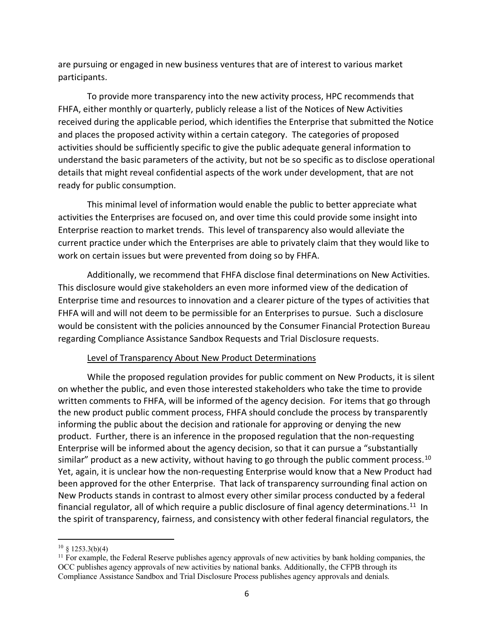are pursuing or engaged in new business ventures that are of interest to various market participants.

To provide more transparency into the new activity process, HPC recommends that FHFA, either monthly or quarterly, publicly release a list of the Notices of New Activities received during the applicable period, which identifies the Enterprise that submitted the Notice and places the proposed activity within a certain category. The categories of proposed activities should be sufficiently specific to give the public adequate general information to understand the basic parameters of the activity, but not be so specific as to disclose operational details that might reveal confidential aspects of the work under development, that are not ready for public consumption.

This minimal level of information would enable the public to better appreciate what activities the Enterprises are focused on, and over time this could provide some insight into Enterprise reaction to market trends. This level of transparency also would alleviate the current practice under which the Enterprises are able to privately claim that they would like to work on certain issues but were prevented from doing so by FHFA.

Additionally, we recommend that FHFA disclose final determinations on New Activities. This disclosure would give stakeholders an even more informed view of the dedication of Enterprise time and resources to innovation and a clearer picture of the types of activities that FHFA will and will not deem to be permissible for an Enterprises to pursue. Such a disclosure would be consistent with the policies announced by the Consumer Financial Protection Bureau regarding Compliance Assistance Sandbox Requests and Trial Disclosure requests.

## Level of Transparency About New Product Determinations

While the proposed regulation provides for public comment on New Products, it is silent on whether the public, and even those interested stakeholders who take the time to provide written comments to FHFA, will be informed of the agency decision. For items that go through the new product public comment process, FHFA should conclude the process by transparently informing the public about the decision and rationale for approving or denying the new product. Further, there is an inference in the proposed regulation that the non-requesting Enterprise will be informed about the agency decision, so that it can pursue a "substantially similar" product as a new activity, without having to go through the public comment process.<sup>10</sup> Yet, again, it is unclear how the non-requesting Enterprise would know that a New Product had been approved for the other Enterprise. That lack of transparency surrounding final action on New Products stands in contrast to almost every other similar process conducted by a federal financial regulator, all of which require a public disclosure of final agency determinations.<sup>[11](#page-5-1)</sup> In the spirit of transparency, fairness, and consistency with other federal financial regulators, the

<span id="page-5-0"></span> $10 \& 1253.3(b)(4)$ 

<span id="page-5-1"></span><sup>&</sup>lt;sup>11</sup> For example, the Federal Reserve publishes agency approvals of new activities by bank holding companies, the OCC publishes agency approvals of new activities by national banks. Additionally, the CFPB through its Compliance Assistance Sandbox and Trial Disclosure Process publishes agency approvals and denials.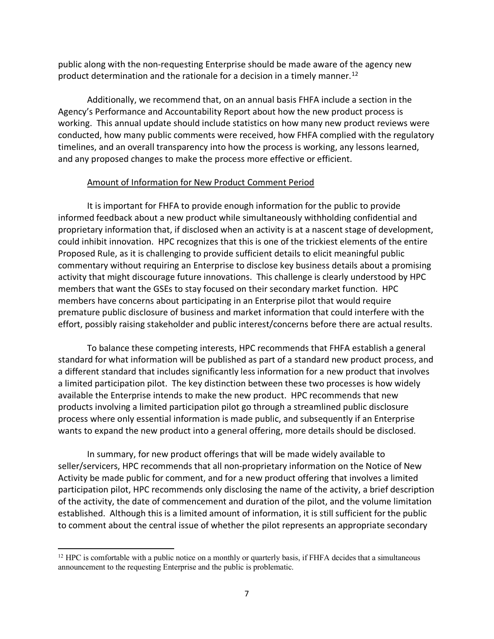public along with the non-requesting Enterprise should be made aware of the agency new product determination and the rationale for a decision in a timely manner.<sup>[12](#page-6-0)</sup>

Additionally, we recommend that, on an annual basis FHFA include a section in the Agency's Performance and Accountability Report about how the new product process is working. This annual update should include statistics on how many new product reviews were conducted, how many public comments were received, how FHFA complied with the regulatory timelines, and an overall transparency into how the process is working, any lessons learned, and any proposed changes to make the process more effective or efficient.

#### Amount of Information for New Product Comment Period

It is important for FHFA to provide enough information for the public to provide informed feedback about a new product while simultaneously withholding confidential and proprietary information that, if disclosed when an activity is at a nascent stage of development, could inhibit innovation. HPC recognizes that this is one of the trickiest elements of the entire Proposed Rule, as it is challenging to provide sufficient details to elicit meaningful public commentary without requiring an Enterprise to disclose key business details about a promising activity that might discourage future innovations. This challenge is clearly understood by HPC members that want the GSEs to stay focused on their secondary market function. HPC members have concerns about participating in an Enterprise pilot that would require premature public disclosure of business and market information that could interfere with the effort, possibly raising stakeholder and public interest/concerns before there are actual results.

To balance these competing interests, HPC recommends that FHFA establish a general standard for what information will be published as part of a standard new product process, and a different standard that includes significantly less information for a new product that involves a limited participation pilot. The key distinction between these two processes is how widely available the Enterprise intends to make the new product. HPC recommends that new products involving a limited participation pilot go through a streamlined public disclosure process where only essential information is made public, and subsequently if an Enterprise wants to expand the new product into a general offering, more details should be disclosed.

In summary, for new product offerings that will be made widely available to seller/servicers, HPC recommends that all non-proprietary information on the Notice of New Activity be made public for comment, and for a new product offering that involves a limited participation pilot, HPC recommends only disclosing the name of the activity, a brief description of the activity, the date of commencement and duration of the pilot, and the volume limitation established. Although this is a limited amount of information, it is still sufficient for the public to comment about the central issue of whether the pilot represents an appropriate secondary

<span id="page-6-0"></span> $12$  HPC is comfortable with a public notice on a monthly or quarterly basis, if FHFA decides that a simultaneous announcement to the requesting Enterprise and the public is problematic.